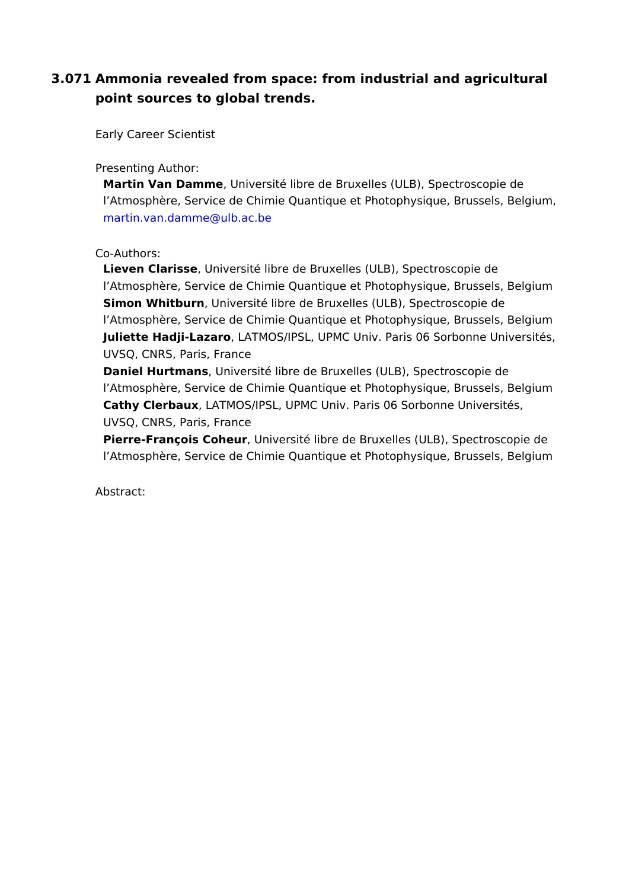3.071Ammonia revealed from space: from industrial and agricultura point sources to global trends.

Early Career Scientist

Presenting Author:

Martin Van Dam, mutheiversité libre de Bruxelles (ULB), Spectroscopie l Atmosphère, Service de Chimie Quantique et Photophysique, Bruss martin.van.damme@ulb.ac.be

Co-Authors:

Lieven Clariss be iversité libre de Bruxelles (ULB), Spectroscopie de l Atmosphère, Service de Chimie Quantique et Photophysique, Bruss Simon Whitburbniversité libre de Bruxelles (ULB), Spectroscopie de l Atmosphère, Service de Chimie Quantique et Photophysique, Bruss Juliette Hadji-LazaAd MOS/IPSL, UPMC Univ. Paris 06 Sorbonne Univ UVSQ, CNRS, Paris, France

Daniel Hurtmandsniversité libre de Bruxelles (ULB), Spectroscopie de l Atmosphère, Service de Chimie Quantique et Photophysique, Bruss Cathy Clerbauk ATMOS/IPSL, UPMC Univ. Paris 06 Sorbonne Universi UVSQ, CNRS, Paris, France

Pierre-François Coheurversité libre de Bruxelles (ULB), Spectroscop l Atmosphère, Service de Chimie Quantique et Photophysique, Bruss

Abstract: